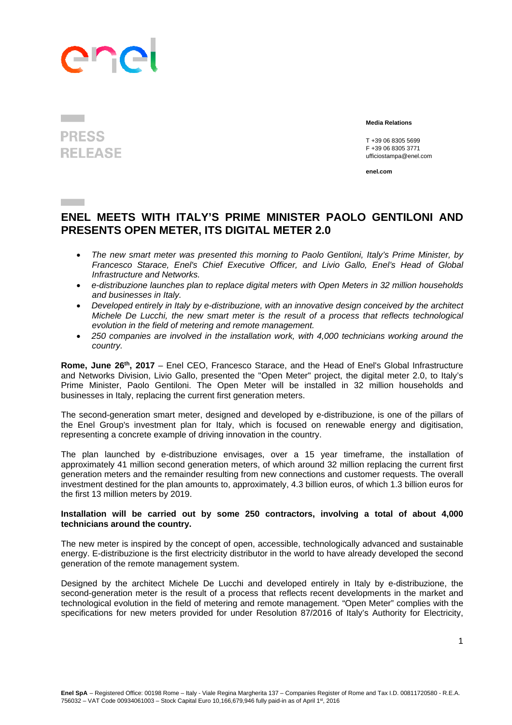## ene

## **PRESS RELEASE**

**Contract** 

 **Media Relations** 

 T +39 06 8305 5699 F +39 06 8305 3771 ufficiostampa@enel.com

**enel.com**

## **ENEL MEETS WITH ITALY'S PRIME MINISTER PAOLO GENTILONI AND PRESENTS OPEN METER, ITS DIGITAL METER 2.0**

- *The new smart meter was presented this morning to Paolo Gentiloni, Italy's Prime Minister, by Francesco Starace, Enel's Chief Executive Officer, and Livio Gallo, Enel's Head of Global Infrastructure and Networks.*
- *e-distribuzione launches plan to replace digital meters with Open Meters in 32 million households and businesses in Italy.*
- *Developed entirely in Italy by e-distribuzione, with an innovative design conceived by the architect Michele De Lucchi, the new smart meter is the result of a process that reflects technological evolution in the field of metering and remote management.*
- *250 companies are involved in the installation work, with 4,000 technicians working around the country.*

Rome, June 26<sup>th</sup>, 2017 – Enel CEO, Francesco Starace, and the Head of Enel's Global Infrastructure and Networks Division, Livio Gallo, presented the "Open Meter" project, the digital meter 2.0, to Italy's Prime Minister, Paolo Gentiloni. The Open Meter will be installed in 32 million households and businesses in Italy, replacing the current first generation meters.

The second-generation smart meter, designed and developed by e-distribuzione, is one of the pillars of the Enel Group's investment plan for Italy, which is focused on renewable energy and digitisation, representing a concrete example of driving innovation in the country.

The plan launched by e-distribuzione envisages, over a 15 year timeframe, the installation of approximately 41 million second generation meters, of which around 32 million replacing the current first generation meters and the remainder resulting from new connections and customer requests. The overall investment destined for the plan amounts to, approximately, 4.3 billion euros, of which 1.3 billion euros for the first 13 million meters by 2019.

## **Installation will be carried out by some 250 contractors, involving a total of about 4,000 technicians around the country.**

The new meter is inspired by the concept of open, accessible, technologically advanced and sustainable energy. E-distribuzione is the first electricity distributor in the world to have already developed the second generation of the remote management system.

Designed by the architect Michele De Lucchi and developed entirely in Italy by e-distribuzione, the second-generation meter is the result of a process that reflects recent developments in the market and technological evolution in the field of metering and remote management. "Open Meter" complies with the specifications for new meters provided for under Resolution 87/2016 of Italy's Authority for Electricity,